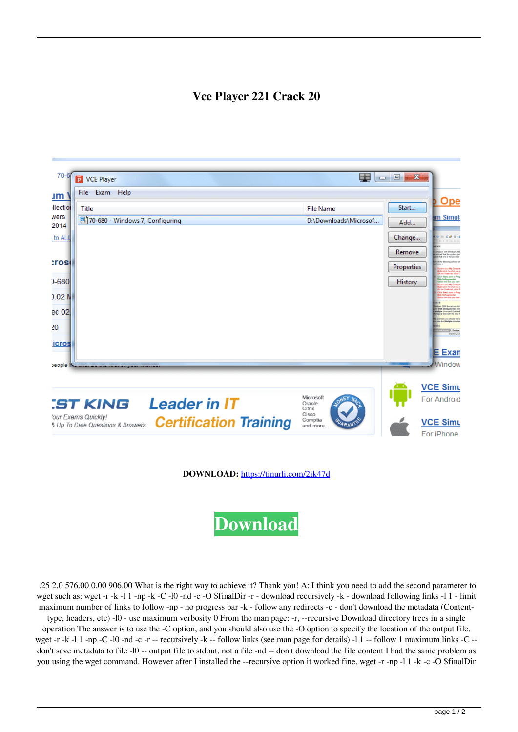## **Vce Player 221 Crack 20**



**DOWNLOAD:** <https://tinurli.com/2ik47d>

**[Download](https://tinurli.com/2ik47d)**

 .25 2.0 576.00 0.00 906.00 What is the right way to achieve it? Thank you! A: I think you need to add the second parameter to wget such as: wget -r -k -l 1 -np -k -C -l0 -nd -c -O \$finalDir -r - download recursively -k - download following links -l 1 - limit maximum number of links to follow -np - no progress bar -k - follow any redirects -c - don't download the metadata (Content-

type, headers, etc) -l0 - use maximum verbosity 0 From the man page: -r, --recursive Download directory trees in a single operation The answer is to use the -C option, and you should also use the -O option to specify the location of the output file. wget -r -k -l 1 -np -C -l0 -nd -c -r -- recursively -k -- follow links (see man page for details) -l 1 -- follow 1 maximum links -C -don't save metadata to file -l0 -- output file to stdout, not a file -nd -- don't download the file content I had the same problem as you using the wget command. However after I installed the --recursive option it worked fine. wget -r -np -l 1 -k -c -O \$finalDir